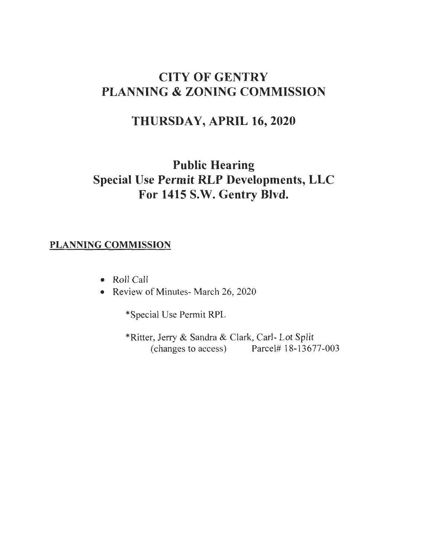# CITY OF GENTRY PLANNING & ZONING COMMISSION

# THURSDAY, APRIL 16, 2020

# Public Hearing Special Use Permit RLP Developments, LLC For 1415 S.W. Gentry Blvd.

### PLANNING COMMISSION

- Roll Call
- Review of Minutes- March 26, 2020

\*Special Use Permit RPL

\*Ritter, Jerry & Sandra & Clark, Carl- Lot Split (changes to access) Parcel# 18-13 677-003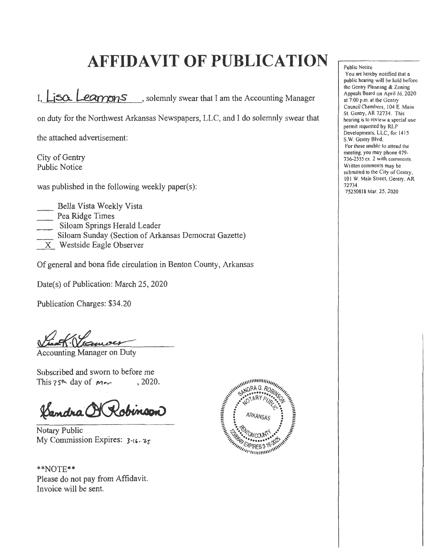# **AFFIDAVIT OF PUBLICATION**

I.  $LiSO_{2}$   $Learnons$ , solemnly swear that I am the Accounting Manager

on duty for the Northwest Arkansas Newspapers, LLC, and I do solemnly swear that

the attached advertisement:

City of Gentry Public Notice

was published in the following weekly paper(s):

- \_\_ Bella Vista Weekly Vista
- Pea Ridge Times
- Siloam Springs Herald Leader
- Siloam Sunday (Section of Arkansas Democrat Gazette)
- X Westside Eagle Observer

Of general and bona fide circulation in Benton County, Arkansas

Date(s) of Publication: March 25, 2020

Publication Charges: \$34.20

Accounting Manager on Duty

Subscribed and sworn to before me This  $25<sup>th</sup>$  day of  $m \sim$ , 2020.

Dandra OK

Notary Public My Commission Expires:  $3-16.25$ 

\*\*NOTE\*\* Please do not pay from Affidavit. Invoice will be sent.



Public Notice

You are hereby notified that a public hearing will be held before the Gentry Planning & Zoning Appeals Board on April 16, 2020 at 7:00 p.m. at the Gentry Council Chambers, 104 E. Main St. Gentry, AR 72734. This hearing is to review a special use permit requested by RLP Developments, LLC, for 1415 S.W. Gentry Blvd. For those unable to attend the meeting, you may phone 479- 736-2555 ex. 2 with comments. Written comments may be submitted to the City of Gentry, 101 W. Main Street, Gentry, AR 72734. 75250818 Mar. 25, 2020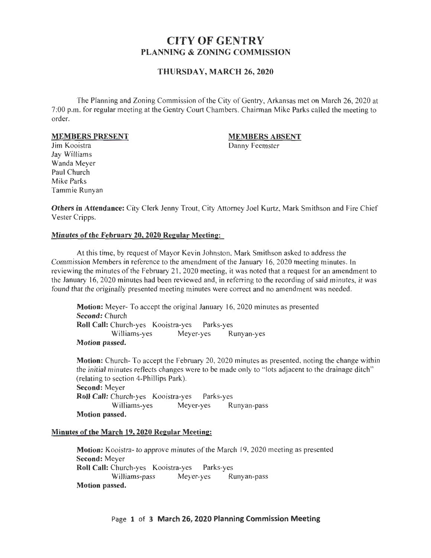## **CITY OF GENTRY PLANNING & ZONING COMMISSION**

### **THURSDAY, MARCH 26, 2020**

The Planning and Zoning Commission of the City of Gentry, Arkansas met on March 26, 2020 at 7:00 p.m. for regular meeting at the Gentry Court Chambers. Chairman Mike Parks called the meeting to order.

#### **MEMBERS PRESENT**

#### **MEMBERS ABSENT**

Danny Feemster

Jim Kooistra Jay Williams Wanda Meyer Paul Church Mike Parks Tammie Runyan

**Others in Attendance:** City Clerk Jenny Trout, City Attorney Joel Kurtz, Mark Smithson and Fire Chief Vester Cripps.

#### **Minutes of the February 20, 2020 Regular Meeting:**

At this time, by request of Mayor Kevin Johnston, Mark Smithson asked to address the Commission Members in reference to the amendment of the January 16, 2020 meeting minutes. In reviewing the minutes of the February 2 1, 2020 meeting, it was noted that a request for an amendment to the January 16, 2020 minutes had been reviewed and, in referring to the recording of said minutes, it was found that the originally presented meeting minutes were correct and no amendment was needed.

**Motion:** Meyer- To accept the original January 16, 2020 minutes as presented **Second:** Church **Roll Call:** Church-yes Kooistra-yes Parks-yes Williams-yes Meyer-yes Runyan-yes **Motion passed.** 

**Motion:** Church- To accept the February 20, 2020 minutes as presented, noting the change within the initial minutes reflects changes were to be made only to " lots adjacent to the drainage ditch" (relating to section 4-Phillips Park). **Second:** Meyer **Roll Call:** Church-yes Kooistra-yes Parks-yes Williams-yes Meyer-yes Runyan-pass **Motion passed.** 

#### **Minutes of the March 19, 2020 Regular Meeting:**

**Motion:** Kooistra- to approve minutes of the March 19, 2020 meeting as presented **Second:** Meyer **Roll Call:** Church-yes Kooistra-yes Parks-yes Williams-pass Meyer-yes Runyan-pass **Motion passed.**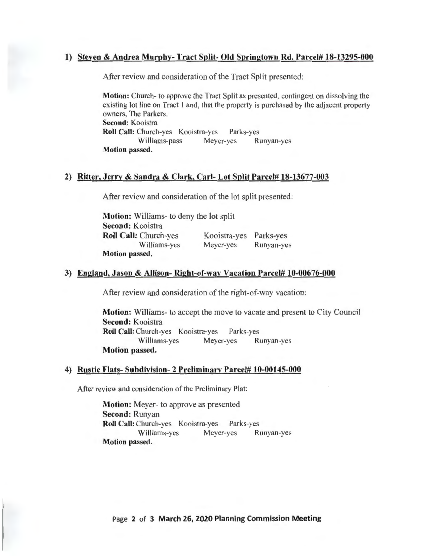### 1) Steven & Andrea Murphy- Tract Split- Old Springtown Rd. Parcel# 18-13295-000

After review and consideration of the Tract Split presented:

Motion: Church- to approve the Tract Split as presented, contingent on dissolving the existing lot line on Tract I and, that the property is purchased by the adjacent property owners, The Parkers. Second: Kooistra Roll Call: Church-yes Kooistra-yes Parks-yes Williams-pass Meyer-yes Runyan-yes Motion passed.

### 2) Ritter, Jerry & Sandra & Clark, Carl- Lot Split Parcel# 18-13677-003

After review and consideration of the lot split presented:

Motion: Williams- to deny the lot split Second: Kooistra Roll Call: Church-yes Williams-yes Motion passed. Kooistra-yes Parks-yes Meyer-yes Runyan-yes

#### 3) England, Jason & Allison- Right-of-way Vacation Parcel# 10-00676-000

After review and consideration of the right-of-way vacation:

Motion: Williams- to accept the move to vacate and present to City Council Second: Kooistra Roll Call: Church-yes Kooistra-yes Parks-yes Williams-yes Meyer-yes Runyan-yes Motion passed.

#### 4) Rustic Flats- Subdivision- 2 Preliminary Parcel# 10-00145-000

After review and consideration of the Preliminary Plat:

Motion: Meyer- to approve as presented Second: Runyan Roll Call: Church-yes Kooistra-yes Parks-yes Williams-yes Meyer-yes Runyan-yes Motion passed.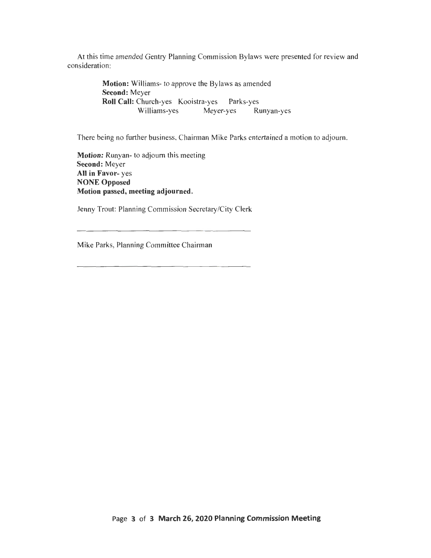At this time amended Gentry Planning Commission Bylaws were presented for review and consideration:

> **Motion:** Williams- to approve the Bylaws as amended **Second:** Meyer **Roll Call:** Church-yes Kooistra-yes Parks-yes Williams-yes Meyer-yes Runyan-yes

There being no further business, Chairman Mike Parks entertained a motion to adjourn.

**Motion:** Runyan- to adjourn this meeting **Second:** Meyer **All in Favor-** yes **NONE Opposed Motion passed, meeting adjourned.** 

Jenny Trout: Planning Commission Secretary/City Clerk

Mike Parks, Planning Committee Chairman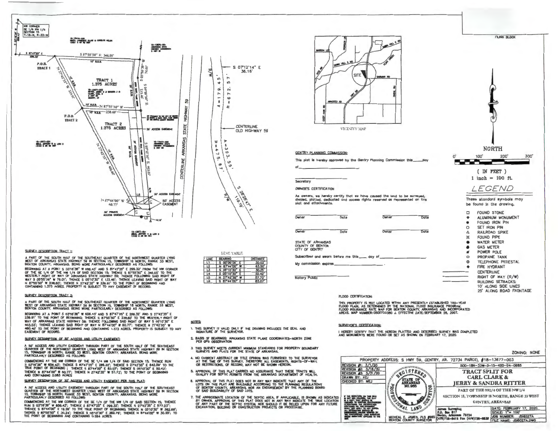

#### SURVEY DESCRIPTION TRACT 1:

A PART OF THE SOUTH HALF OF THE SOUTHEAST QUARTER OF THE NORTHWEST QUARTER LYING<br>WEST OF ARKANSAS STATE HIGHWAY SO IN SECTION 15, TOWNSHIP 18 NORTH, RANGE 33 WEST,<br>BENTON COUNTY, ANKANSAS, BEING MORE PARTICULARLY DESORIBED

BEGINNING AT A POINT S 0316'36" W 656.43' AND S 87'47'25" E 299.32' FROM THE NW CORNER OF THE SE 1/4 OF THE NW 1/4 OF SAID SECTION 15; THENCE S 87'55'50'" E 346.05' TO THE<br>WESTERLY RIGHT OF WAY OF ARKANSAS STATE HIGHWAY 59; THENCE FOLLOWING SAID RIGHT OF WAY S 05°55'30" W 78.01'; THENCE S 05°10'30" E 133.46'; THENCE LEAVING SAID RIGHT OF WAY<br>N 87°55'50" W 238.60'; THENCE N 27°42'35" W 238.91' TO THE POINT OF BECOMING AND<br>CONTAINING 1.375 ACRES. PROPERTY IS SUBJECT TO ANY E

#### SURVEY DESCRIPTION TRACT 2:

A PART OF THE SOUTH HALF OF THE SOUTHEAST QUARTER OF THE NORTHWEST QUARTER LYING<br>WEST OF ARKANSAS STATE HIGHWAY 59 IN SECTION 15, TOWNSHIP 18 NORTH, RANGE 33 WEST,<br>BENTON COUNTY, ARKANSAS. BEING MORE PARTICULARLY DESCRIBED

BEGINNING AT A POINT S 0316'36" W 656.43' AND S 87'47'25" E 299.32' AND S 27'42'35" 239.91' TO THE POINT OF BEGINNING; THENCE S 8756'30" E 238.60' TO THE WESTERLY RIGHT OF<br>WAY OF ARKANSAS STATE HIGHWAY 59; THENGE FOLLOWING SAID RIGHT OF WAY S 0510'30" E<br>403.03'; THENCE LEAVING SAID RIGHT OF WAY N 8774\*00" 460.40' TO THE POINT OF BEGINNING AND CONTAINING 1.373 ACRES. PROPERTY IS SUBJECT TO ANY<br>EASEMENT OF RECORD.

#### SURVEY DESCRIPTION OF 50' ACCESS AND UTILITY EASEMENT:

a 50° access and utility eassingit through part of the south half of the southeast<br>Quarter of the northwest quarter lying west of arkansas state highway sg in section<br>Particularly described as follows:<br>Particularly describ

COMMENGING AT THE NW CORNER OF THE SE 1/4 NW 1/4 OF SAID SECTION 15, THENCE RUN<br>S OUTIGAT W BOBLAST: THENCE S B747'25" E 200.32"; THENCE S 2742'35" E 642.50" TO THE<br>TRUE PONT OF BEGRINING : THENCE S 8744'00" E 83.07"; THEN

SURVEY DESCRIPTION OF 30' ACCESS AND UTILITY EASEMENT PER THIS PLAT:

A 30' ACCESS AND UTILITY EASEMENT THROUGH PART OF THE SOUTH HAUF OF THE SOUTHEAST<br>QUARTER OF THE NORTHWEST QUARTER LYING WEST OF ARKANSAS STATE HIGHWAY 50 IN SECTION<br>PARTICULARLY DESCRIBIED AS FOLLOWS:<br>PARTICULARLY DESCRIB

CCUIENCINC AT THE NW ~ER ~ 1H£ SE 1/4 ~ 1H£ NW 1/4 ~ SAD SECllON 15; THENCE RUN S OJ15'Je" W 5~.43'; THENCE S 87'47'2~" E 299.32'; THENCE S 2T42'J~· <sup>E</sup>5n.2J"; IHEHCE S 57'44'00" E 1SI.2&' TO THE TRUE PQNT Of BEQHNHQ; THENCE N 0510'30. W 382.59'; THENCE S 1!1~'&0" E 30.24'; lHENCE S ~,0 30" E 382.7i'; THEHCE N !7'44'00" W 30.2S'; TO THE POINT OF BEGINNING AKJ C<»>ITAINING 0.284 ACRES.







Secretory

Notary Public

OWNER'S CERTIFICATION

As owners, we hereby certify that we have caused the land to be surveyed,<br>divided, platted, dedicated and access rights reserved as represented on this plat and attachments.

| Owner                                           | Date | Owner | Date |            |
|-------------------------------------------------|------|-------|------|------------|
|                                                 |      |       |      |            |
|                                                 |      |       |      | $\circ$    |
| Owner                                           | Date |       | Date | Δ          |
|                                                 |      |       |      | ¤          |
| STATE OF ARKANSAS                               |      |       |      |            |
| COUNTY OF BENTON<br>CITY OF GENTRY              |      |       |      |            |
|                                                 |      |       |      |            |
| Subacribed and swarn before me this ____ day of |      |       |      | $\bigcirc$ |
| My commission expires                           |      |       |      | œ          |
|                                                 |      |       |      |            |



#### FLOOD CERTIFICATION:

THIS PROPERTY IS NOT LUCATED WITHIN ANY PRESENTLY ESTABLASHD TOU—TEAN<br>FLOOD PICINI, AS DETERMINED BY THE NATIONAL FLOOD INSURANCE PROGRAM,<br>FLOOD NISURANCE RATE WAP FOR BENTON COUNTY, ARKANSAS AND INCORPORATED<br>AREAS, MAP NU

#### SURVEYOR'S CERTIFICATION:

I HEREBY CERTIFY THAT THE HEREON PLATTED AND DESCRIBED SURVEY WAS COMPLETED<br>AND MONUMENTS WERE FOUND OR SET AS SHOWN ON FEBRUARY 17, 2020.





NOTES:

1. THIS SURVEY IS VALID ONLY IF THE DRAWING INCLUDES THE SEAL AND SIGNATURE OF THE SURVEYOR.

LINE BEARING DISTANCE s 00'00'00  $8744'00''$  M S 05' 10 30 05°10'30'<br>27°42'36  $\begin{array}{|c|c|c|c|c|}\n\hline\n15 & N & 2742^135^{\circ} & W & 57.72^1 \\
\hline\n16 & S & 8744^100^{\circ} & E & 83.07^1\n\end{array}$ 

LEVE TABLE

- 2. BASIS OF BEARINGS: ARKANSAS STATE PLANE COORDINATES-NORTH ZONE PER GPS OBSERVATION
- 3. THIS SURVEY WEETS CURRENT MINIMUM STANDARDS FOR PROPERTY BOUNDARY SURVEYS AND PLATS FOR THE STATE OF ARKANSAS.
- 4. NO CURRENT ABSTRACT OR TITLE OPINION WAS FURNISHED TO THE SURVEYOR.<br>AT THE TIME OF THIS SURVEY. THEREFORE ALL EASEWDITS, RIGHTS-OF-WAY,<br>OR RESTRICTIONS, OF RECORD, MAY NOT BE SHOWN HEREON.
- 5. APPROVAL OF THIS PLAT CARRIES NO ASSURANCE THAT THESE TRACTS WILL. QUAUFY FOR SEPTIC PERWITS FROM THE ARKANSAS DEPARTMENT OF HEALTH.
- 8. APPROVAL OF THIS PLAT DOES NOT IN ANY WAY INDICATE THAT ANY OF THE LOTS ON THIS PLAT ARE BUILDABLE ACCORDING TO THE PLANNING REGULATIONS. OF BENTON COUNTY, ARKANSAS, NOR AN ENDORSEMENT BY THE PLANNING BOARD<br>OF SAID BUILDABILITY OF SAID LOTS.
- 7. THE APPROXIMATE LOCATION OF THE SEPTIC AREA, IF APPUCABLE, IS SHOWN AS INDICATED BY OWNER. APPROVAL OF THIS PLAT DOES NOT IN ANY WAY INDICATE THE TRUE LOCATION OF ANY PART OF THE SEPTIC SYSTEM, NOR SHOULD IT BE RELIED UPON FOR ANY FUTURE<br>EXCAVATION, BUILDING OR CONSTRUCTION PROJECTS OR PROCEDURE.